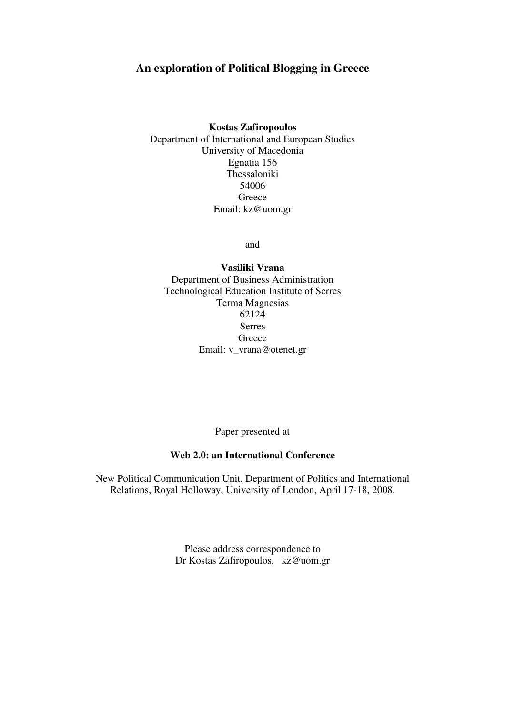# **An exploration of Political Blogging in Greece**

### **Kostas Zafiropoulos**

Department of International and European Studies University of Macedonia Egnatia 156 Thessaloniki 54006 **Greece** Email: kz@uom.gr

and

**Vasiliki Vrana**  Department of Business Administration Technological Education Institute of Serres Terma Magnesias 62124 Serres Greece Email: v\_vrana@otenet.gr

Paper presented at

## **Web 2.0: an International Conference**

New Political Communication Unit, Department of Politics and International Relations, Royal Holloway, University of London, April 17-18, 2008.

> Please address correspondence to Dr Kostas Zafiropoulos, kz@uom.gr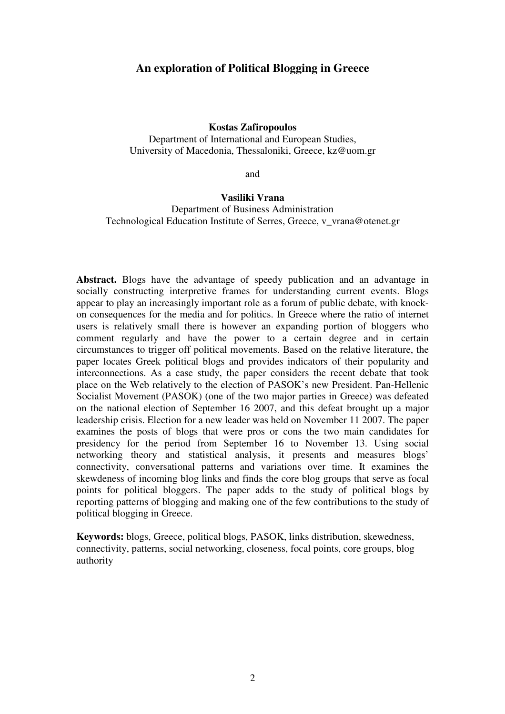## **An exploration of Political Blogging in Greece**

#### **Kostas Zafiropoulos**

Department of International and European Studies, University of Macedonia, Thessaloniki, Greece, kz@uom.gr

and

#### **Vasiliki Vrana**

Department of Business Administration Technological Education Institute of Serres, Greece, v\_vrana@otenet.gr

**Abstract.** Blogs have the advantage of speedy publication and an advantage in socially constructing interpretive frames for understanding current events. Blogs appear to play an increasingly important role as a forum of public debate, with knockon consequences for the media and for politics. In Greece where the ratio of internet users is relatively small there is however an expanding portion of bloggers who comment regularly and have the power to a certain degree and in certain circumstances to trigger off political movements. Based on the relative literature, the paper locates Greek political blogs and provides indicators of their popularity and interconnections. As a case study, the paper considers the recent debate that took place on the Web relatively to the election of PASOK's new President. Pan-Hellenic Socialist Movement (PASOK) (one of the two major parties in Greece) was defeated on the national election of September 16 2007, and this defeat brought up a major leadership crisis. Election for a new leader was held on November 11 2007. The paper examines the posts of blogs that were pros or cons the two main candidates for presidency for the period from September 16 to November 13. Using social networking theory and statistical analysis, it presents and measures blogs' connectivity, conversational patterns and variations over time. It examines the skewdeness of incoming blog links and finds the core blog groups that serve as focal points for political bloggers. The paper adds to the study of political blogs by reporting patterns of blogging and making one of the few contributions to the study of political blogging in Greece.

**Keywords:** blogs, Greece, political blogs, PASOK, links distribution, skewedness, connectivity, patterns, social networking, closeness, focal points, core groups, blog authority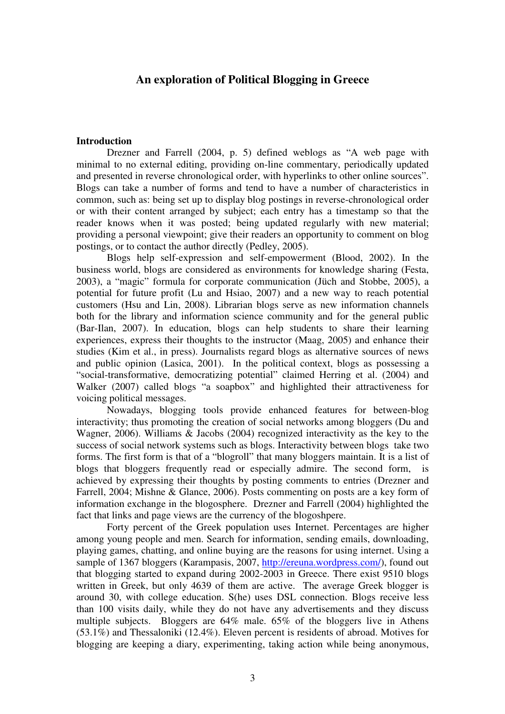## **An exploration of Political Blogging in Greece**

#### **Introduction**

Drezner and Farrell (2004, p. 5) defined weblogs as "A web page with minimal to no external editing, providing on-line commentary, periodically updated and presented in reverse chronological order, with hyperlinks to other online sources". Blogs can take a number of forms and tend to have a number of characteristics in common, such as: being set up to display blog postings in reverse-chronological order or with their content arranged by subject; each entry has a timestamp so that the reader knows when it was posted; being updated regularly with new material; providing a personal viewpoint; give their readers an opportunity to comment on blog postings, or to contact the author directly (Pedley, 2005).

Blogs help self-expression and self-empowerment (Blood, 2002). In the business world, blogs are considered as environments for knowledge sharing (Festa, 2003), a "magic" formula for corporate communication (Jüch and Stobbe, 2005), a potential for future profit (Lu and Hsiao, 2007) and a new way to reach potential customers (Hsu and Lin, 2008). Librarian blogs serve as new information channels both for the library and information science community and for the general public (Bar-Ilan, 2007). In education, blogs can help students to share their learning experiences, express their thoughts to the instructor (Maag, 2005) and enhance their studies (Kim et al., in press). Journalists regard blogs as alternative sources of news and public opinion (Lasica, 2001). In the political context, blogs as possessing a "social-transformative, democratizing potential" claimed Herring et al. (2004) and Walker (2007) called blogs "a soapbox" and highlighted their attractiveness for voicing political messages.

Nowadays, blogging tools provide enhanced features for between-blog interactivity; thus promoting the creation of social networks among bloggers (Du and Wagner, 2006). Williams & Jacobs (2004) recognized interactivity as the key to the success of social network systems such as blogs. Interactivity between blogs take two forms. The first form is that of a "blogroll" that many bloggers maintain. It is a list of blogs that bloggers frequently read or especially admire. The second form, is achieved by expressing their thoughts by posting comments to entries (Drezner and Farrell, 2004; Mishne & Glance, 2006). Posts commenting on posts are a key form of information exchange in the blogosphere. Drezner and Farrell (2004) highlighted the fact that links and page views are the currency of the blogoshpere.

Forty percent of the Greek population uses Internet. Percentages are higher among young people and men. Search for information, sending emails, downloading, playing games, chatting, and online buying are the reasons for using internet. Using a sample of 1367 bloggers (Karampasis, 2007, http://ereuna.wordpress.com/), found out that blogging started to expand during 2002-2003 in Greece. There exist 9510 blogs written in Greek, but only 4639 of them are active. The average Greek blogger is around 30, with college education. S(he) uses DSL connection. Blogs receive less than 100 visits daily, while they do not have any advertisements and they discuss multiple subjects. Bloggers are 64% male. 65% of the bloggers live in Athens (53.1%) and Thessaloniki (12.4%). Eleven percent is residents of abroad. Motives for blogging are keeping a diary, experimenting, taking action while being anonymous,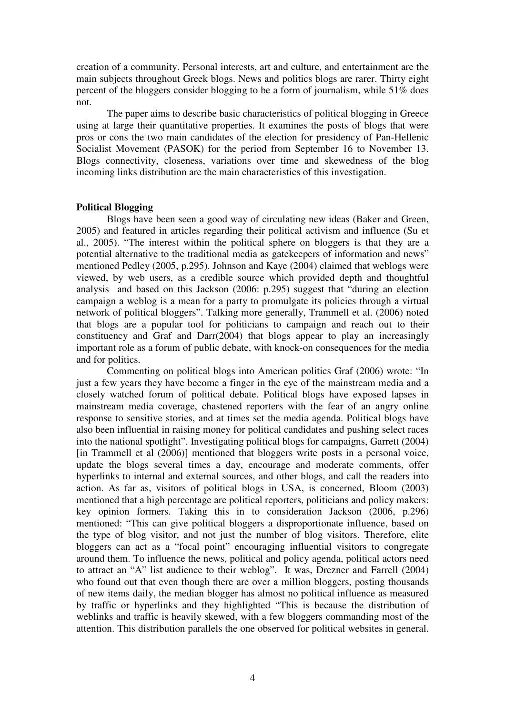creation of a community. Personal interests, art and culture, and entertainment are the main subjects throughout Greek blogs. News and politics blogs are rarer. Thirty eight percent of the bloggers consider blogging to be a form of journalism, while 51% does not.

The paper aims to describe basic characteristics of political blogging in Greece using at large their quantitative properties. It examines the posts of blogs that were pros or cons the two main candidates of the election for presidency of Pan-Hellenic Socialist Movement (PASOK) for the period from September 16 to November 13. Blogs connectivity, closeness, variations over time and skewedness of the blog incoming links distribution are the main characteristics of this investigation.

## **Political Blogging**

Βlogs have been seen a good way of circulating new ideas (Baker and Green, 2005) and featured in articles regarding their political activism and influence (Su et al., 2005). "The interest within the political sphere on bloggers is that they are a potential alternative to the traditional media as gatekeepers of information and news" mentioned Pedley (2005, p.295). Johnson and Kaye (2004) claimed that weblogs were viewed, by web users, as a credible source which provided depth and thoughtful analysis and based on this Jackson (2006: p.295) suggest that "during an election campaign a weblog is a mean for a party to promulgate its policies through a virtual network of political bloggers". Talking more generally, Trammell et al. (2006) noted that blogs are a popular tool for politicians to campaign and reach out to their constituency and Graf and Darr(2004) that blogs appear to play an increasingly important role as a forum of public debate, with knock-on consequences for the media and for politics.

Commenting on political blogs into American politics Graf (2006) wrote: "In just a few years they have become a finger in the eye of the mainstream media and a closely watched forum of political debate. Political blogs have exposed lapses in mainstream media coverage, chastened reporters with the fear of an angry online response to sensitive stories, and at times set the media agenda. Political blogs have also been influential in raising money for political candidates and pushing select races into the national spotlight". Investigating political blogs for campaigns, Garrett (2004) [in Trammell et al (2006)] mentioned that bloggers write posts in a personal voice, update the blogs several times a day, encourage and moderate comments, offer hyperlinks to internal and external sources, and other blogs, and call the readers into action. As far as, visitors of political blogs in USA, is concerned, Bloom (2003) mentioned that a high percentage are political reporters, politicians and policy makers: key opinion formers. Taking this in to consideration Jackson (2006, p.296) mentioned: "This can give political bloggers a disproportionate influence, based on the type of blog visitor, and not just the number of blog visitors. Therefore, elite bloggers can act as a "focal point" encouraging influential visitors to congregate around them. To influence the news, political and policy agenda, political actors need to attract an "A" list audience to their weblog". It was, Drezner and Farrell (2004) who found out that even though there are over a million bloggers, posting thousands of new items daily, the median blogger has almost no political influence as measured by traffic or hyperlinks and they highlighted "This is because the distribution of weblinks and traffic is heavily skewed, with a few bloggers commanding most of the attention. This distribution parallels the one observed for political websites in general.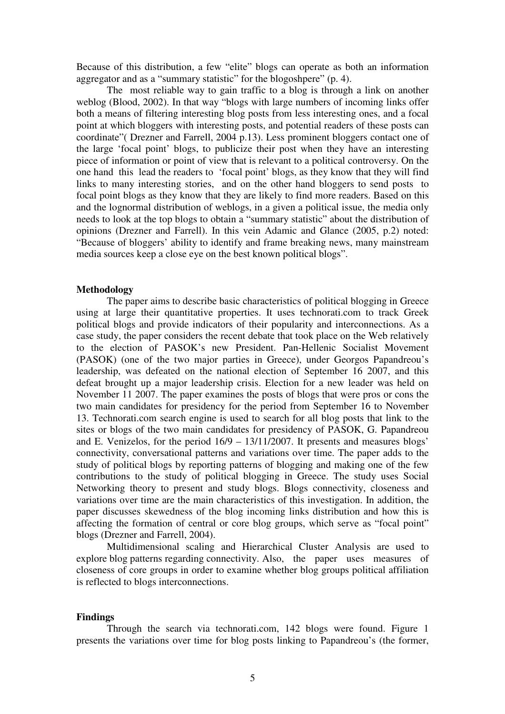Because of this distribution, a few "elite" blogs can operate as both an information aggregator and as a "summary statistic" for the blogoshpere" (p. 4).

The most reliable way to gain traffic to a blog is through a link on another weblog (Blood, 2002). In that way "blogs with large numbers of incoming links offer both a means of filtering interesting blog posts from less interesting ones, and a focal point at which bloggers with interesting posts, and potential readers of these posts can coordinate"( Drezner and Farrell, 2004 p.13). Less prominent bloggers contact one of the large 'focal point' blogs, to publicize their post when they have an interesting piece of information or point of view that is relevant to a political controversy. On the one hand this lead the readers to 'focal point' blogs, as they know that they will find links to many interesting stories, and on the other hand bloggers to send posts to focal point blogs as they know that they are likely to find more readers. Based on this and the lognormal distribution of weblogs, in a given a political issue, the media only needs to look at the top blogs to obtain a "summary statistic" about the distribution of opinions (Drezner and Farrell). In this vein Adamic and Glance (2005, p.2) noted: "Because of bloggers' ability to identify and frame breaking news, many mainstream media sources keep a close eye on the best known political blogs".

#### **Methodology**

The paper aims to describe basic characteristics of political blogging in Greece using at large their quantitative properties. It uses technorati.com to track Greek political blogs and provide indicators of their popularity and interconnections. As a case study, the paper considers the recent debate that took place on the Web relatively to the election of PASOK's new President. Pan-Hellenic Socialist Movement (PASOK) (one of the two major parties in Greece), under Georgos Papandreou's leadership, was defeated on the national election of September 16 2007, and this defeat brought up a major leadership crisis. Election for a new leader was held on November 11 2007. The paper examines the posts of blogs that were pros or cons the two main candidates for presidency for the period from September 16 to November 13. Technorati.com search engine is used to search for all blog posts that link to the sites or blogs of the two main candidates for presidency of PASOK, G. Papandreou and E. Venizelos, for the period 16/9 – 13/11/2007. It presents and measures blogs' connectivity, conversational patterns and variations over time. The paper adds to the study of political blogs by reporting patterns of blogging and making one of the few contributions to the study of political blogging in Greece. The study uses Social Networking theory to present and study blogs. Blogs connectivity, closeness and variations over time are the main characteristics of this investigation. In addition, the paper discusses skewedness of the blog incoming links distribution and how this is affecting the formation of central or core blog groups, which serve as "focal point" blogs (Drezner and Farrell, 2004).

Multidimensional scaling and Hierarchical Cluster Analysis are used to explore blog patterns regarding connectivity. Also, the paper uses measures of closeness of core groups in order to examine whether blog groups political affiliation is reflected to blogs interconnections.

### **Findings**

Through the search via technorati.com, 142 blogs were found. Figure 1 presents the variations over time for blog posts linking to Papandreou's (the former,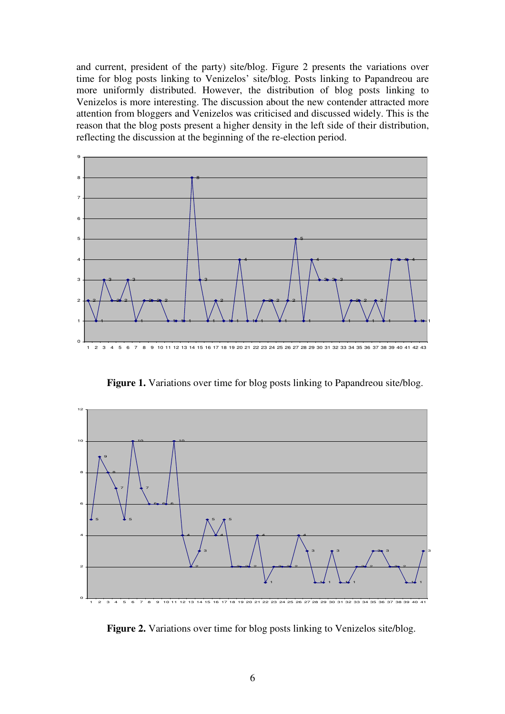and current, president of the party) site/blog. Figure 2 presents the variations over time for blog posts linking to Venizelos' site/blog. Posts linking to Papandreou are more uniformly distributed. However, the distribution of blog posts linking to Venizelos is more interesting. The discussion about the new contender attracted more attention from bloggers and Venizelos was criticised and discussed widely. This is the reason that the blog posts present a higher density in the left side of their distribution, reflecting the discussion at the beginning of the re-election period.



Figure 1. Variations over time for blog posts linking to Papandreou site/blog.



**Figure 2.** Variations over time for blog posts linking to Venizelos site/blog.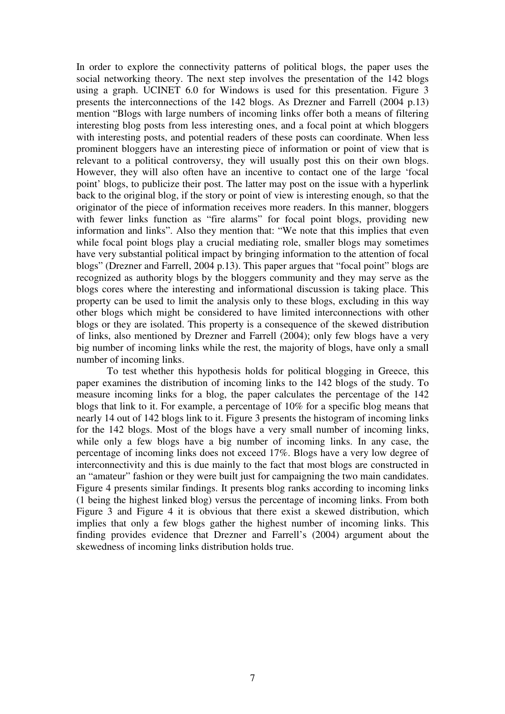In order to explore the connectivity patterns of political blogs, the paper uses the social networking theory. The next step involves the presentation of the 142 blogs using a graph. UCINET 6.0 for Windows is used for this presentation. Figure 3 presents the interconnections of the 142 blogs. As Drezner and Farrell (2004 p.13) mention "Blogs with large numbers of incoming links offer both a means of filtering interesting blog posts from less interesting ones, and a focal point at which bloggers with interesting posts, and potential readers of these posts can coordinate. When less prominent bloggers have an interesting piece of information or point of view that is relevant to a political controversy, they will usually post this on their own blogs. However, they will also often have an incentive to contact one of the large 'focal point' blogs, to publicize their post. The latter may post on the issue with a hyperlink back to the original blog, if the story or point of view is interesting enough, so that the originator of the piece of information receives more readers. In this manner, bloggers with fewer links function as "fire alarms" for focal point blogs, providing new information and links". Also they mention that: "We note that this implies that even while focal point blogs play a crucial mediating role, smaller blogs may sometimes have very substantial political impact by bringing information to the attention of focal blogs" (Drezner and Farrell, 2004 p.13). This paper argues that "focal point" blogs are recognized as authority blogs by the bloggers community and they may serve as the blogs cores where the interesting and informational discussion is taking place. This property can be used to limit the analysis only to these blogs, excluding in this way other blogs which might be considered to have limited interconnections with other blogs or they are isolated. This property is a consequence of the skewed distribution of links, also mentioned by Drezner and Farrell (2004); only few blogs have a very big number of incoming links while the rest, the majority of blogs, have only a small number of incoming links.

 To test whether this hypothesis holds for political blogging in Greece, this paper examines the distribution of incoming links to the 142 blogs of the study. To measure incoming links for a blog, the paper calculates the percentage of the 142 blogs that link to it. For example, a percentage of 10% for a specific blog means that nearly 14 out of 142 blogs link to it. Figure 3 presents the histogram of incoming links for the 142 blogs. Most of the blogs have a very small number of incoming links, while only a few blogs have a big number of incoming links. In any case, the percentage of incoming links does not exceed 17%. Blogs have a very low degree of interconnectivity and this is due mainly to the fact that most blogs are constructed in an "amateur" fashion or they were built just for campaigning the two main candidates. Figure 4 presents similar findings. It presents blog ranks according to incoming links (1 being the highest linked blog) versus the percentage of incoming links. From both Figure 3 and Figure 4 it is obvious that there exist a skewed distribution, which implies that only a few blogs gather the highest number of incoming links. This finding provides evidence that Drezner and Farrell's (2004) argument about the skewedness of incoming links distribution holds true.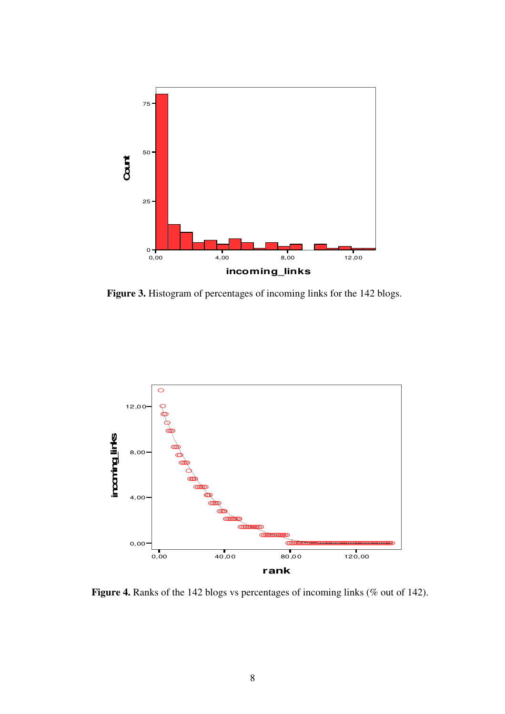

**Figure 3.** Histogram of percentages of incoming links for the 142 blogs.



Figure 4. Ranks of the 142 blogs vs percentages of incoming links (% out of 142).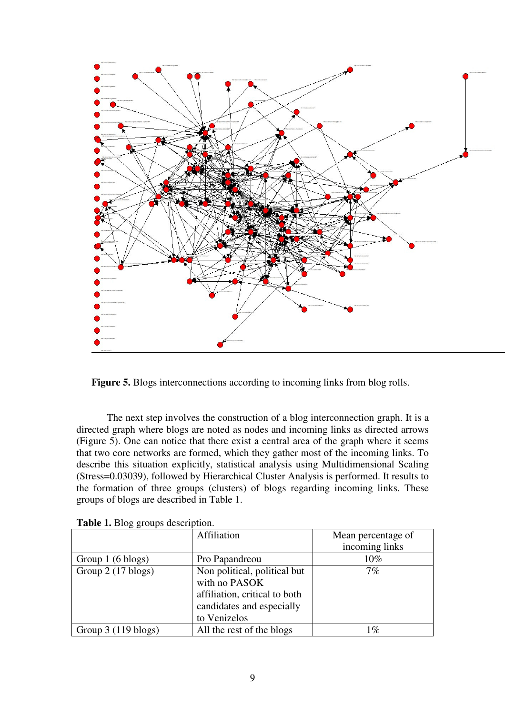

Figure 5. Blogs interconnections according to incoming links from blog rolls.

 The next step involves the construction of a blog interconnection graph. It is a directed graph where blogs are noted as nodes and incoming links as directed arrows (Figure 5). One can notice that there exist a central area of the graph where it seems that two core networks are formed, which they gather most of the incoming links. To describe this situation explicitly, statistical analysis using Multidimensional Scaling (Stress=0.03039), followed by Hierarchical Cluster Analysis is performed. It results to the formation of three groups (clusters) of blogs regarding incoming links. These groups of blogs are described in Table 1.

| $\sigma$ $\sigma$ $\sim$ $\sigma$       |                               |                    |  |  |
|-----------------------------------------|-------------------------------|--------------------|--|--|
|                                         | Affiliation                   | Mean percentage of |  |  |
|                                         |                               | incoming links     |  |  |
| Group 1 (6 blogs)                       | Pro Papandreou                | 10%                |  |  |
| Group 2 (17 blogs)                      | Non political, political but  | $7\%$              |  |  |
|                                         | with no PASOK                 |                    |  |  |
|                                         | affiliation, critical to both |                    |  |  |
|                                         | candidates and especially     |                    |  |  |
|                                         | to Venizelos                  |                    |  |  |
| Group $3(119 \text{�} \cdot \text{bb})$ | All the rest of the blogs     | 1%                 |  |  |

**Table 1.** Blog groups description.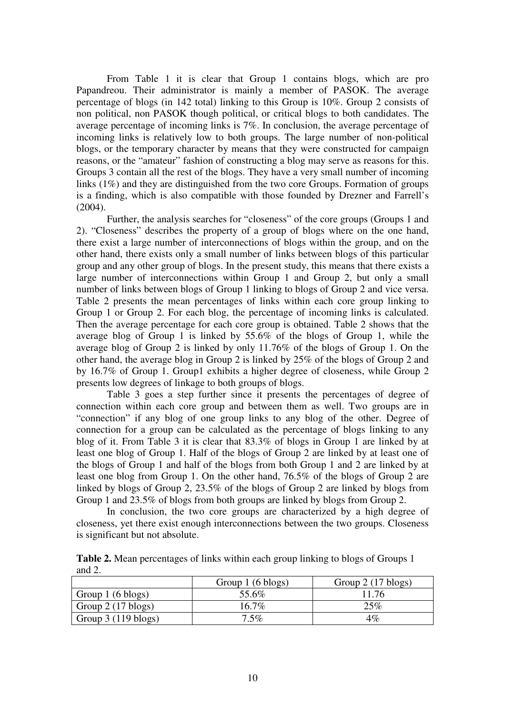From Table 1 it is clear that Group 1 contains blogs, which are pro Papandreou. Their administrator is mainly a member of PASOK. The average percentage of blogs (in 142 total) linking to this Group is 10%. Group 2 consists of non political, non PASOK though political, or critical blogs to both candidates. The average percentage of incoming links is 7%. In conclusion, the average percentage of incoming links is relatively low to both groups. The large number of non-political blogs, or the temporary character by means that they were constructed for campaign reasons, or the "amateur" fashion of constructing a blog may serve as reasons for this. Groups 3 contain all the rest of the blogs. They have a very small number of incoming links (1%) and they are distinguished from the two core Groups. Formation of groups is a finding, which is also compatible with those founded by Drezner and Farrell's  $(2004)$ .

Further, the analysis searches for "closeness" of the core groups (Groups 1 and 2). "Closeness" describes the property of a group of blogs where on the one hand, there exist a large number of interconnections of blogs within the group, and on the other hand, there exists only a small number of links between blogs of this particular group and any other group of blogs. In the present study, this means that there exists a large number of interconnections within Group 1 and Group 2, but only a small number of links between blogs of Group 1 linking to blogs of Group 2 and vice versa. Table 2 presents the mean percentages of links within each core group linking to Group 1 or Group 2. For each blog, the percentage of incoming links is calculated. Then the average percentage for each core group is obtained. Table 2 shows that the average blog of Group 1 is linked by 55.6% of the blogs of Group 1, while the average blog of Group 2 is linked by only 11.76% of the blogs of Group 1. On the other hand, the average blog in Group 2 is linked by 25% of the blogs of Group 2 and by 16.7% of Group 1. Group1 exhibits a higher degree of closeness, while Group 2 presents low degrees of linkage to both groups of blogs.

Table 3 goes a step further since it presents the percentages of degree of connection within each core group and between them as well. Two groups are in "connection" if any blog of one group links to any blog of the other. Degree of connection for a group can be calculated as the percentage of blogs linking to any blog of it. From Table 3 it is clear that 83.3% of blogs in Group 1 are linked by at least one blog of Group 1. Half of the blogs of Group 2 are linked by at least one of the blogs of Group 1 and half of the blogs from both Group 1 and 2 are linked by at least one blog from Group 1. On the other hand, 76.5% of the blogs of Group 2 are linked by blogs of Group 2, 23.5% of the blogs of Group 2 are linked by blogs from Group 1 and 23.5% of blogs from both groups are linked by blogs from Group 2.

In conclusion, the two core groups are characterized by a high degree of closeness, yet there exist enough interconnections between the two groups. Closeness is significant but not absolute.

| <b>Table 2.</b> Mean percentages of links within each group linking to blogs of Groups 1 |  |  |
|------------------------------------------------------------------------------------------|--|--|
| and $2$ .                                                                                |  |  |

|                                        | Group 1 (6 blogs) | Group $2(17 \text{�} \log \frac{1}{2})$ |
|----------------------------------------|-------------------|-----------------------------------------|
| Group 1 (6 blogs)                      | 55.6%             | 11.76                                   |
| Group $2(17 \text{�} \log s)$          | $16.7\%$          | 25%                                     |
| Group $3(119 \text{�} \cdot \text{y})$ | $7.5\%$           | $4\%$                                   |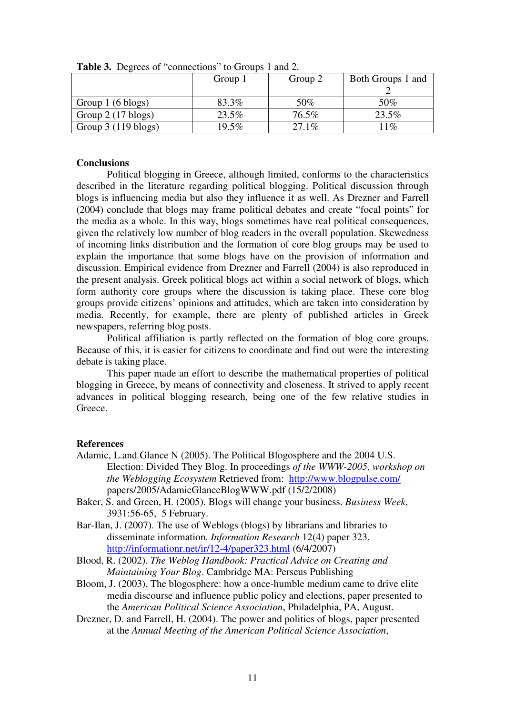|                                         | Group 1 | Group 2 | Both Groups 1 and |  |  |
|-----------------------------------------|---------|---------|-------------------|--|--|
|                                         |         |         |                   |  |  |
| Group 1 (6 blogs)                       | 83.3%   | 50%     | 50%               |  |  |
| Group $2(17 \text{�} \log s)$           | 23.5%   | 76.5%   | 23.5%             |  |  |
| Group $3(119 \text{�} \cdot \text{bb})$ | 19.5%   | 27.1%   | $11\%$            |  |  |

**Table 3.** Degrees of "connections" to Groups 1 and 2.

## **Conclusions**

Political blogging in Greece, although limited, conforms to the characteristics described in the literature regarding political blogging. Political discussion through blogs is influencing media but also they influence it as well. As Drezner and Farrell (2004) conclude that blogs may frame political debates and create "focal points" for the media as a whole. In this way, blogs sometimes have real political consequences, given the relatively low number of blog readers in the overall population. Skewedness of incoming links distribution and the formation of core blog groups may be used to explain the importance that some blogs have on the provision of information and discussion. Empirical evidence from Drezner and Farrell (2004) is also reproduced in the present analysis. Greek political blogs act within a social network of blogs, which form authority core groups where the discussion is taking place. These core blog groups provide citizens' opinions and attitudes, which are taken into consideration by media. Recently, for example, there are plenty of published articles in Greek newspapers, referring blog posts.

 Political affiliation is partly reflected on the formation of blog core groups. Because of this, it is easier for citizens to coordinate and find out were the interesting debate is taking place.

 This paper made an effort to describe the mathematical properties of political blogging in Greece, by means of connectivity and closeness. It strived to apply recent advances in political blogging research, being one of the few relative studies in Greece.

#### **References**

- Adamic, L.and Glance N (2005). The Political Blogosphere and the 2004 U.S. Election: Divided They Blog. In proceedings *of the WWW-2005, workshop on the Weblogging Ecosystem* Retrieved from: http://www.blogpulse.com/ papers/2005/AdamicGlanceBlogWWW.pdf (15/2/2008)
- Baker, S. and Green, H. (2005). Blogs will change your business. *Business Week*, 3931:56-65, 5 February.
- Bar-Ilan, J. (2007). The use of Weblogs (blogs) by librarians and libraries to disseminate information*. Information Research* 12(4) paper 323. http://informationr.net/ir/12-4/paper323.html (6/4/2007)
- Blood, R. (2002). *The Weblog Handbook: Practical Advice on Creating and Maintaining Your Blog*. Cambridge MA: Perseus Publishing
- Bloom, J. (2003), The blogosphere: how a once-humble medium came to drive elite media discourse and influence public policy and elections, paper presented to the *American Political Science Association*, Philadelphia, PA, August.
- Drezner, D. and Farrell, H. (2004). The power and politics of blogs, paper presented at the *Annual Meeting of the American Political Science Association*,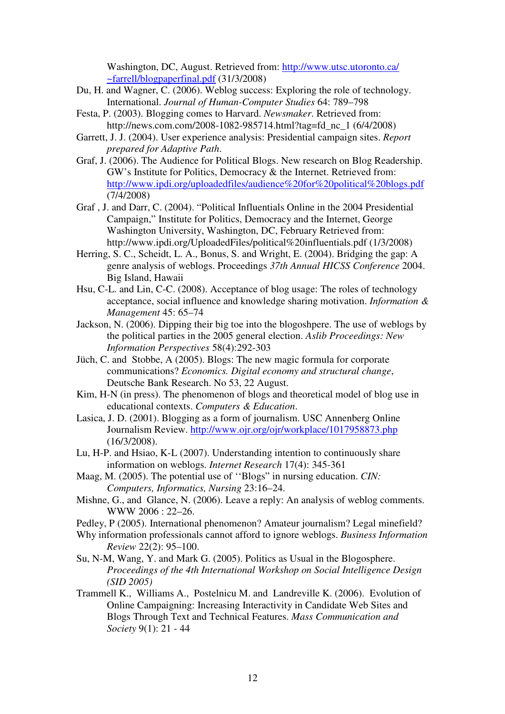Washington, DC, August. Retrieved from: http://www.utsc.utoronto.ca/ ~farrell/blogpaperfinal.pdf (31/3/2008)

- Du, H. and Wagner, C. (2006). Weblog success: Exploring the role of technology. International. *Journal of Human-Computer Studies* 64: 789–798
- Festa, P. (2003). Blogging comes to Harvard. *Newsmaker*. Retrieved from: http://news.com.com/2008-1082-985714.html?tag=fd\_nc\_1 (6/4/2008)
- Garrett, J. J. (2004). User experience analysis: Presidential campaign sites. *Report prepared for Adaptive Path*.
- Graf, J. (2006). The Audience for Political Blogs. New research on Blog Readership. GW's Institute for Politics, Democracy & the Internet. Retrieved from: http://www.ipdi.org/uploadedfiles/audience%20for%20political%20blogs.pdf (7/4/2008)
- Graf , J. and Darr, C. (2004). "Political Influentials Online in the 2004 Presidential Campaign," Institute for Politics, Democracy and the Internet, George Washington University, Washington, DC, February Retrieved from: http://www.ipdi.org/UploadedFiles/political%20influentials.pdf (1/3/2008)
- Herring, S. C., Scheidt, L. A., Bonus, S. and Wright, E. (2004). Bridging the gap: A genre analysis of weblogs. Proceedings *37th Annual HICSS Conference* 2004. Big Island, Hawaii
- Hsu, C-L. and Lin, C-C. (2008). Acceptance of blog usage: The roles of technology acceptance, social influence and knowledge sharing motivation. *Information & Management* 45: 65–74
- Jackson, N. (2006). Dipping their big toe into the blogoshpere. The use of weblogs by the political parties in the 2005 general election. *Aslib Proceedings: New Information Perspectives* 58(4):292-303
- Jüch, C. and Stobbe, A (2005). Blogs: The new magic formula for corporate communications? *Economics. Digital economy and structural change*, Deutsche Bank Research. No 53, 22 August.
- Kim, H-N (in press). The phenomenon of blogs and theoretical model of blog use in educational contexts. *Computers & Education*.
- Lasica, J. D. (2001). Blogging as a form of journalism. USC Annenberg Online Journalism Review. http://www.ojr.org/ojr/workplace/1017958873.php (16/3/2008).
- Lu, H-P. and Hsiao, K-L (2007). Understanding intention to continuously share information on weblogs. *Internet Research* 17(4): 345-361
- Maag, M. (2005). The potential use of ''Blogs" in nursing education. *CIN: Computers, Informatics, Nursing* 23:16–24.
- Mishne, G., and Glance, N. (2006). Leave a reply: An analysis of weblog comments. WWW 2006 : 22–26.
- Pedley, P (2005). International phenomenon? Amateur journalism? Legal minefield?
- Why information professionals cannot afford to ignore weblogs. *Business Information Review* 22(2): 95–100.
- Su, N-M, Wang, Y. and Mark G. (2005). Politics as Usual in the Blogosphere. *Proceedings of the 4th International Workshop on Social Intelligence Design (SID 2005)*
- Trammell K., Williams A., Postelnicu M. and Landreville K. (2006). Evolution of Online Campaigning: Increasing Interactivity in Candidate Web Sites and Blogs Through Text and Technical Features. *Mass Communication and Society* 9(1): 21 - 44